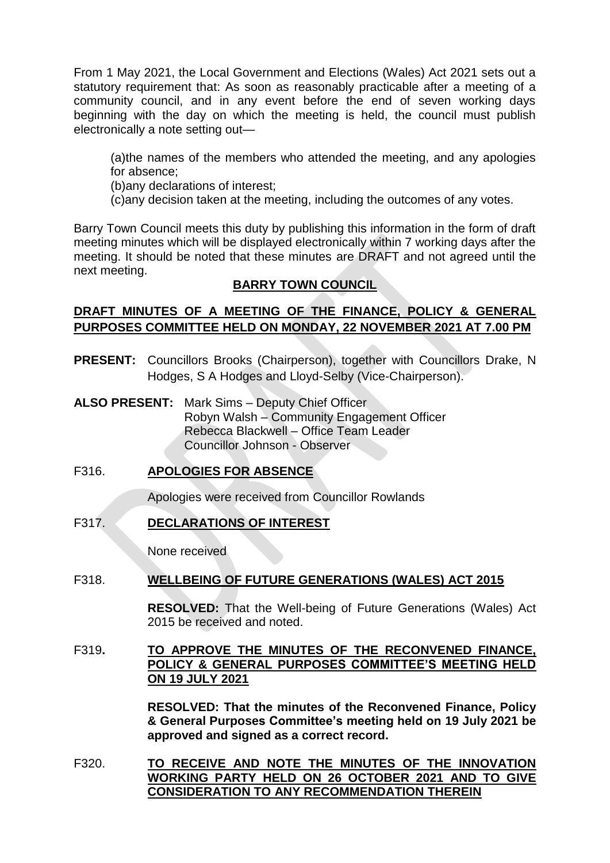From 1 May 2021, the Local Government and Elections (Wales) Act 2021 sets out a statutory requirement that: As soon as reasonably practicable after a meeting of a community council, and in any event before the end of seven working days beginning with the day on which the meeting is held, the council must publish electronically a note setting out—

(a)the names of the members who attended the meeting, and any apologies for absence;

(b)any declarations of interest;

(c)any decision taken at the meeting, including the outcomes of any votes.

Barry Town Council meets this duty by publishing this information in the form of draft meeting minutes which will be displayed electronically within 7 working days after the meeting. It should be noted that these minutes are DRAFT and not agreed until the next meeting.

# **BARRY TOWN COUNCIL**

# **DRAFT MINUTES OF A MEETING OF THE FINANCE, POLICY & GENERAL PURPOSES COMMITTEE HELD ON MONDAY, 22 NOVEMBER 2021 AT 7.00 PM**

- **PRESENT:** Councillors Brooks (Chairperson), together with Councillors Drake, N Hodges, S A Hodges and Lloyd-Selby (Vice-Chairperson).
- **ALSO PRESENT:** Mark Sims Deputy Chief Officer Robyn Walsh – Community Engagement Officer Rebecca Blackwell – Office Team Leader Councillor Johnson - Observer

# F316. **APOLOGIES FOR ABSENCE**

Apologies were received from Councillor Rowlands

# F317. **DECLARATIONS OF INTEREST**

None received

# F318. **WELLBEING OF FUTURE GENERATIONS (WALES) ACT 2015**

**RESOLVED:** That the Well-being of Future Generations (Wales) Act 2015 be received and noted.

F319**. TO APPROVE THE MINUTES OF THE RECONVENED FINANCE, POLICY & GENERAL PURPOSES COMMITTEE'S MEETING HELD ON 19 JULY 2021**

> **RESOLVED: That the minutes of the Reconvened Finance, Policy & General Purposes Committee's meeting held on 19 July 2021 be approved and signed as a correct record.**

F320. **TO RECEIVE AND NOTE THE MINUTES OF THE INNOVATION WORKING PARTY HELD ON 26 OCTOBER 2021 AND TO GIVE CONSIDERATION TO ANY RECOMMENDATION THEREIN**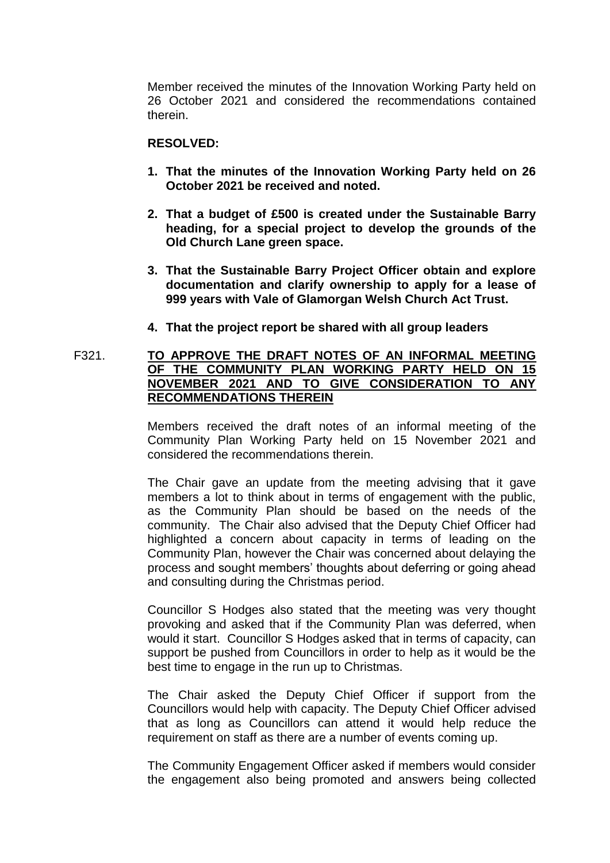Member received the minutes of the Innovation Working Party held on 26 October 2021 and considered the recommendations contained therein.

#### **RESOLVED:**

- **1. That the minutes of the Innovation Working Party held on 26 October 2021 be received and noted.**
- **2. That a budget of £500 is created under the Sustainable Barry heading, for a special project to develop the grounds of the Old Church Lane green space.**
- **3. That the Sustainable Barry Project Officer obtain and explore documentation and clarify ownership to apply for a lease of 999 years with Vale of Glamorgan Welsh Church Act Trust.**
- **4. That the project report be shared with all group leaders**

# F321. **TO APPROVE THE DRAFT NOTES OF AN INFORMAL MEETING OF THE COMMUNITY PLAN WORKING PARTY HELD ON 15 NOVEMBER 2021 AND TO GIVE CONSIDERATION TO ANY RECOMMENDATIONS THEREIN**

Members received the draft notes of an informal meeting of the Community Plan Working Party held on 15 November 2021 and considered the recommendations therein.

The Chair gave an update from the meeting advising that it gave members a lot to think about in terms of engagement with the public, as the Community Plan should be based on the needs of the community. The Chair also advised that the Deputy Chief Officer had highlighted a concern about capacity in terms of leading on the Community Plan, however the Chair was concerned about delaying the process and sought members' thoughts about deferring or going ahead and consulting during the Christmas period.

Councillor S Hodges also stated that the meeting was very thought provoking and asked that if the Community Plan was deferred, when would it start. Councillor S Hodges asked that in terms of capacity, can support be pushed from Councillors in order to help as it would be the best time to engage in the run up to Christmas.

The Chair asked the Deputy Chief Officer if support from the Councillors would help with capacity. The Deputy Chief Officer advised that as long as Councillors can attend it would help reduce the requirement on staff as there are a number of events coming up.

The Community Engagement Officer asked if members would consider the engagement also being promoted and answers being collected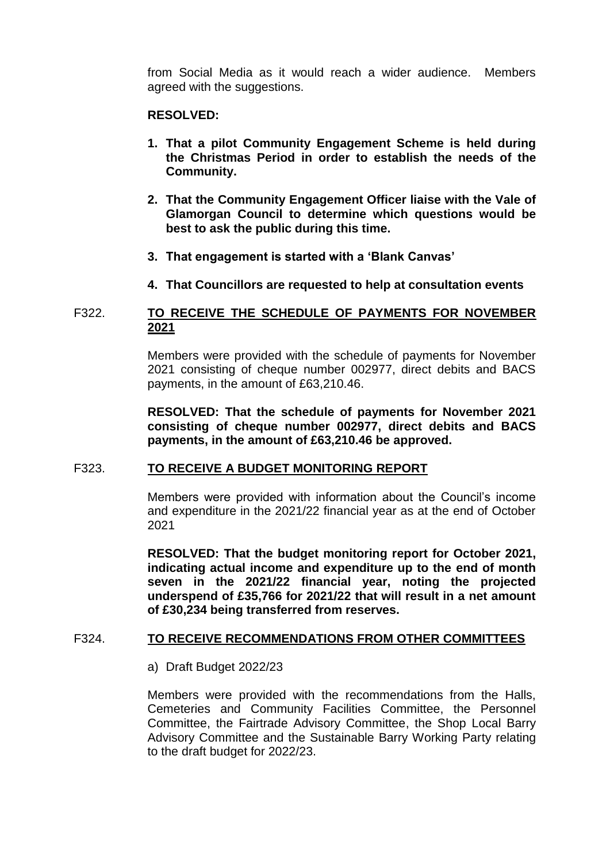from Social Media as it would reach a wider audience. Members agreed with the suggestions.

#### **RESOLVED:**

- **1. That a pilot Community Engagement Scheme is held during the Christmas Period in order to establish the needs of the Community.**
- **2. That the Community Engagement Officer liaise with the Vale of Glamorgan Council to determine which questions would be best to ask the public during this time.**
- **3. That engagement is started with a 'Blank Canvas'**
- **4. That Councillors are requested to help at consultation events**

# F322. **TO RECEIVE THE SCHEDULE OF PAYMENTS FOR NOVEMBER 2021**

Members were provided with the schedule of payments for November 2021 consisting of cheque number 002977, direct debits and BACS payments, in the amount of £63,210.46.

**RESOLVED: That the schedule of payments for November 2021 consisting of cheque number 002977, direct debits and BACS payments, in the amount of £63,210.46 be approved.** 

#### F323. **TO RECEIVE A BUDGET MONITORING REPORT**

Members were provided with information about the Council's income and expenditure in the 2021/22 financial year as at the end of October 2021

**RESOLVED: That the budget monitoring report for October 2021, indicating actual income and expenditure up to the end of month seven in the 2021/22 financial year, noting the projected underspend of £35,766 for 2021/22 that will result in a net amount of £30,234 being transferred from reserves.** 

# F324. **TO RECEIVE RECOMMENDATIONS FROM OTHER COMMITTEES**

a) Draft Budget 2022/23

Members were provided with the recommendations from the Halls, Cemeteries and Community Facilities Committee, the Personnel Committee, the Fairtrade Advisory Committee, the Shop Local Barry Advisory Committee and the Sustainable Barry Working Party relating to the draft budget for 2022/23.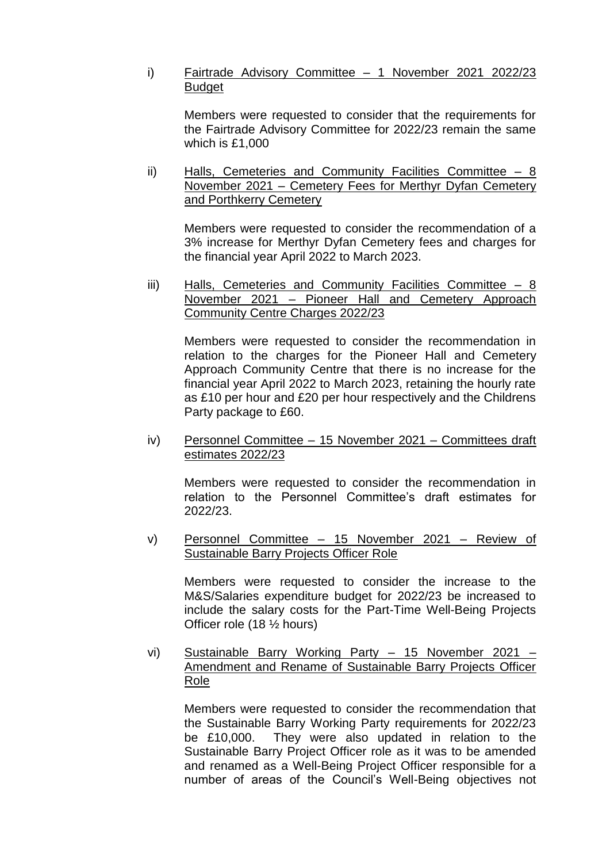# i) Fairtrade Advisory Committee – 1 November 2021 2022/23 **Budget**

Members were requested to consider that the requirements for the Fairtrade Advisory Committee for 2022/23 remain the same which is £1,000

ii) Halls, Cemeteries and Community Facilities Committee – 8 November 2021 – Cemetery Fees for Merthyr Dyfan Cemetery and Porthkerry Cemetery

Members were requested to consider the recommendation of a 3% increase for Merthyr Dyfan Cemetery fees and charges for the financial year April 2022 to March 2023.

iii) Halls, Cemeteries and Community Facilities Committee - 8 November 2021 – Pioneer Hall and Cemetery Approach Community Centre Charges 2022/23

Members were requested to consider the recommendation in relation to the charges for the Pioneer Hall and Cemetery Approach Community Centre that there is no increase for the financial year April 2022 to March 2023, retaining the hourly rate as £10 per hour and £20 per hour respectively and the Childrens Party package to £60.

iv) Personnel Committee – 15 November 2021 – Committees draft estimates 2022/23

Members were requested to consider the recommendation in relation to the Personnel Committee's draft estimates for 2022/23.

v) Personnel Committee – 15 November 2021 – Review of Sustainable Barry Projects Officer Role

Members were requested to consider the increase to the M&S/Salaries expenditure budget for 2022/23 be increased to include the salary costs for the Part-Time Well-Being Projects Officer role (18 ½ hours)

vi) Sustainable Barry Working Party – 15 November 2021 – Amendment and Rename of Sustainable Barry Projects Officer Role

Members were requested to consider the recommendation that the Sustainable Barry Working Party requirements for 2022/23 be £10,000. They were also updated in relation to the Sustainable Barry Project Officer role as it was to be amended and renamed as a Well-Being Project Officer responsible for a number of areas of the Council's Well-Being objectives not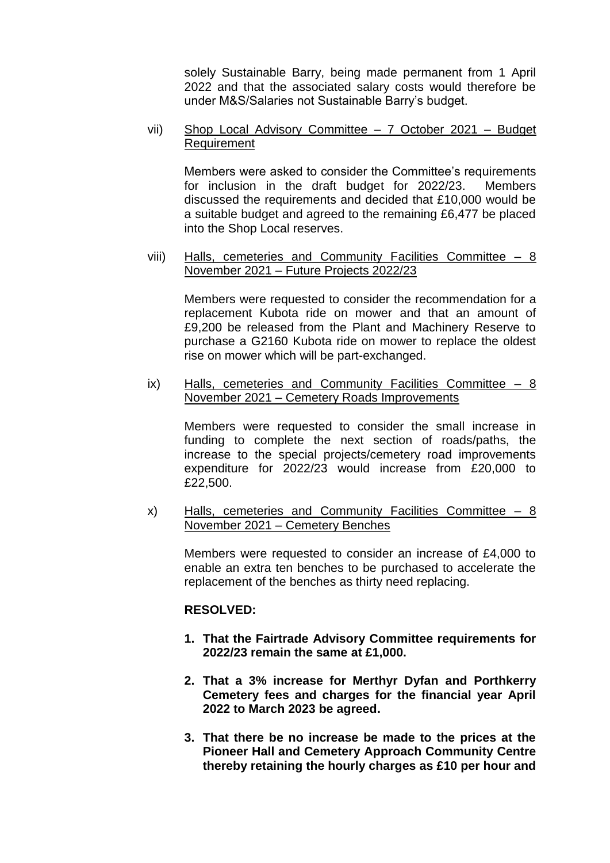solely Sustainable Barry, being made permanent from 1 April 2022 and that the associated salary costs would therefore be under M&S/Salaries not Sustainable Barry's budget.

vii) Shop Local Advisory Committee – 7 October 2021 – Budget Requirement

Members were asked to consider the Committee's requirements for inclusion in the draft budget for 2022/23. Members discussed the requirements and decided that £10,000 would be a suitable budget and agreed to the remaining £6,477 be placed into the Shop Local reserves.

viii) Halls, cemeteries and Community Facilities Committee – 8 November 2021 – Future Projects 2022/23

Members were requested to consider the recommendation for a replacement Kubota ride on mower and that an amount of £9,200 be released from the Plant and Machinery Reserve to purchase a G2160 Kubota ride on mower to replace the oldest rise on mower which will be part-exchanged.

ix) Halls, cemeteries and Community Facilities Committee – 8 November 2021 – Cemetery Roads Improvements

Members were requested to consider the small increase in funding to complete the next section of roads/paths, the increase to the special projects/cemetery road improvements expenditure for 2022/23 would increase from £20,000 to £22,500.

x) Halls, cemeteries and Community Facilities Committee – 8 November 2021 – Cemetery Benches

Members were requested to consider an increase of £4,000 to enable an extra ten benches to be purchased to accelerate the replacement of the benches as thirty need replacing.

# **RESOLVED:**

- **1. That the Fairtrade Advisory Committee requirements for 2022/23 remain the same at £1,000.**
- **2. That a 3% increase for Merthyr Dyfan and Porthkerry Cemetery fees and charges for the financial year April 2022 to March 2023 be agreed.**
- **3. That there be no increase be made to the prices at the Pioneer Hall and Cemetery Approach Community Centre thereby retaining the hourly charges as £10 per hour and**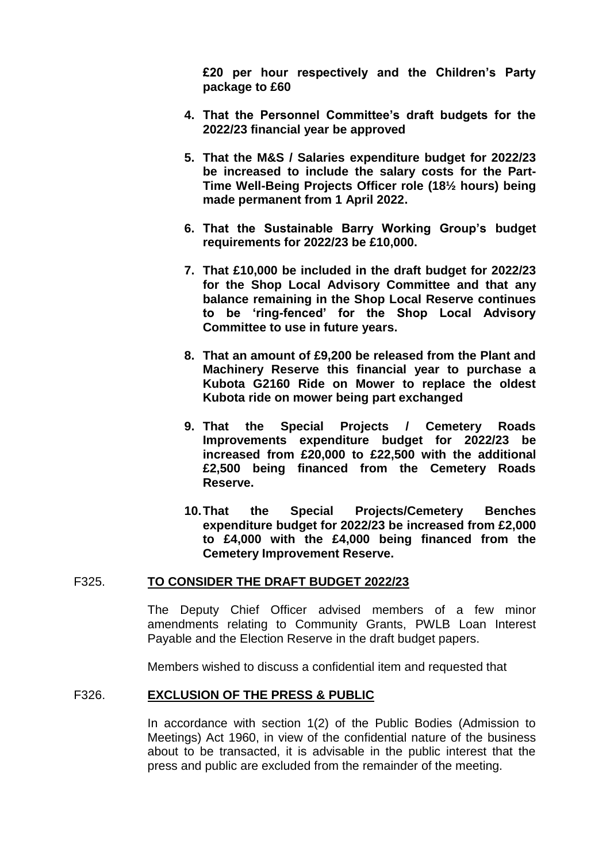**£20 per hour respectively and the Children's Party package to £60**

- **4. That the Personnel Committee's draft budgets for the 2022/23 financial year be approved**
- **5. That the M&S / Salaries expenditure budget for 2022/23 be increased to include the salary costs for the Part-Time Well-Being Projects Officer role (18½ hours) being made permanent from 1 April 2022.**
- **6. That the Sustainable Barry Working Group's budget requirements for 2022/23 be £10,000.**
- **7. That £10,000 be included in the draft budget for 2022/23 for the Shop Local Advisory Committee and that any balance remaining in the Shop Local Reserve continues to be 'ring-fenced' for the Shop Local Advisory Committee to use in future years.**
- **8. That an amount of £9,200 be released from the Plant and Machinery Reserve this financial year to purchase a Kubota G2160 Ride on Mower to replace the oldest Kubota ride on mower being part exchanged**
- **9. That the Special Projects / Cemetery Roads Improvements expenditure budget for 2022/23 be increased from £20,000 to £22,500 with the additional £2,500 being financed from the Cemetery Roads Reserve.**
- **10.That the Special Projects/Cemetery Benches expenditure budget for 2022/23 be increased from £2,000 to £4,000 with the £4,000 being financed from the Cemetery Improvement Reserve.**

#### F325. **TO CONSIDER THE DRAFT BUDGET 2022/23**

The Deputy Chief Officer advised members of a few minor amendments relating to Community Grants, PWLB Loan Interest Payable and the Election Reserve in the draft budget papers.

Members wished to discuss a confidential item and requested that

#### F326. **EXCLUSION OF THE PRESS & PUBLIC**

In accordance with section 1(2) of the Public Bodies (Admission to Meetings) Act 1960, in view of the confidential nature of the business about to be transacted, it is advisable in the public interest that the press and public are excluded from the remainder of the meeting.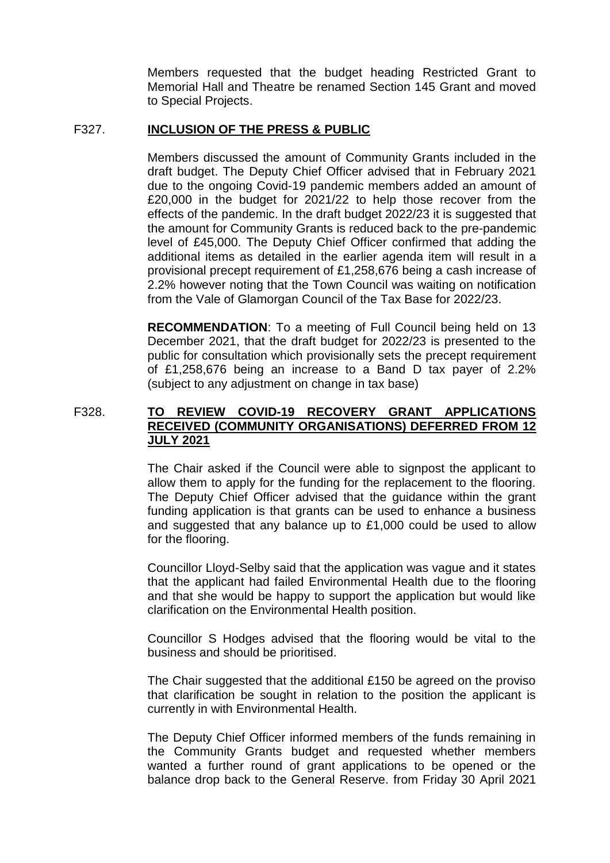Members requested that the budget heading Restricted Grant to Memorial Hall and Theatre be renamed Section 145 Grant and moved to Special Projects.

## F327. **INCLUSION OF THE PRESS & PUBLIC**

Members discussed the amount of Community Grants included in the draft budget. The Deputy Chief Officer advised that in February 2021 due to the ongoing Covid-19 pandemic members added an amount of £20,000 in the budget for 2021/22 to help those recover from the effects of the pandemic. In the draft budget 2022/23 it is suggested that the amount for Community Grants is reduced back to the pre-pandemic level of £45,000. The Deputy Chief Officer confirmed that adding the additional items as detailed in the earlier agenda item will result in a provisional precept requirement of £1,258,676 being a cash increase of 2.2% however noting that the Town Council was waiting on notification from the Vale of Glamorgan Council of the Tax Base for 2022/23.

**RECOMMENDATION**: To a meeting of Full Council being held on 13 December 2021, that the draft budget for 2022/23 is presented to the public for consultation which provisionally sets the precept requirement of £1,258,676 being an increase to a Band D tax payer of 2.2% (subject to any adjustment on change in tax base)

# F328. **TO REVIEW COVID-19 RECOVERY GRANT APPLICATIONS RECEIVED (COMMUNITY ORGANISATIONS) DEFERRED FROM 12 JULY 2021**

The Chair asked if the Council were able to signpost the applicant to allow them to apply for the funding for the replacement to the flooring. The Deputy Chief Officer advised that the guidance within the grant funding application is that grants can be used to enhance a business and suggested that any balance up to £1,000 could be used to allow for the flooring.

Councillor Lloyd-Selby said that the application was vague and it states that the applicant had failed Environmental Health due to the flooring and that she would be happy to support the application but would like clarification on the Environmental Health position.

Councillor S Hodges advised that the flooring would be vital to the business and should be prioritised.

The Chair suggested that the additional £150 be agreed on the proviso that clarification be sought in relation to the position the applicant is currently in with Environmental Health.

The Deputy Chief Officer informed members of the funds remaining in the Community Grants budget and requested whether members wanted a further round of grant applications to be opened or the balance drop back to the General Reserve. from Friday 30 April 2021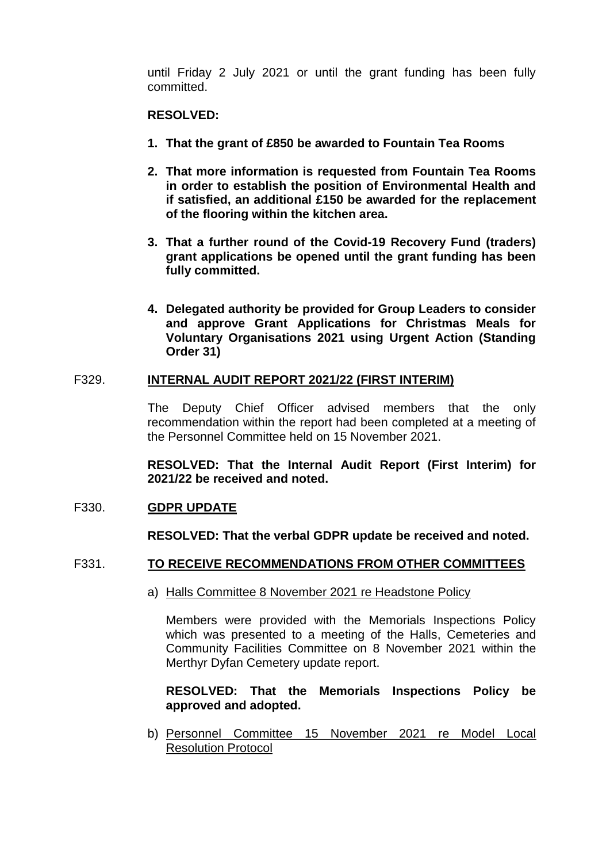until Friday 2 July 2021 or until the grant funding has been fully committed.

### **RESOLVED:**

- **1. That the grant of £850 be awarded to Fountain Tea Rooms**
- **2. That more information is requested from Fountain Tea Rooms in order to establish the position of Environmental Health and if satisfied, an additional £150 be awarded for the replacement of the flooring within the kitchen area.**
- **3. That a further round of the Covid-19 Recovery Fund (traders) grant applications be opened until the grant funding has been fully committed.**
- **4. Delegated authority be provided for Group Leaders to consider and approve Grant Applications for Christmas Meals for Voluntary Organisations 2021 using Urgent Action (Standing Order 31)**

### F329. **INTERNAL AUDIT REPORT 2021/22 (FIRST INTERIM)**

The Deputy Chief Officer advised members that the only recommendation within the report had been completed at a meeting of the Personnel Committee held on 15 November 2021.

**RESOLVED: That the Internal Audit Report (First Interim) for 2021/22 be received and noted.**

#### F330. **GDPR UPDATE**

**RESOLVED: That the verbal GDPR update be received and noted.** 

#### F331. **TO RECEIVE RECOMMENDATIONS FROM OTHER COMMITTEES**

a) Halls Committee 8 November 2021 re Headstone Policy

Members were provided with the Memorials Inspections Policy which was presented to a meeting of the Halls, Cemeteries and Community Facilities Committee on 8 November 2021 within the Merthyr Dyfan Cemetery update report.

### **RESOLVED: That the Memorials Inspections Policy be approved and adopted.**

b) Personnel Committee 15 November 2021 re Model Local Resolution Protocol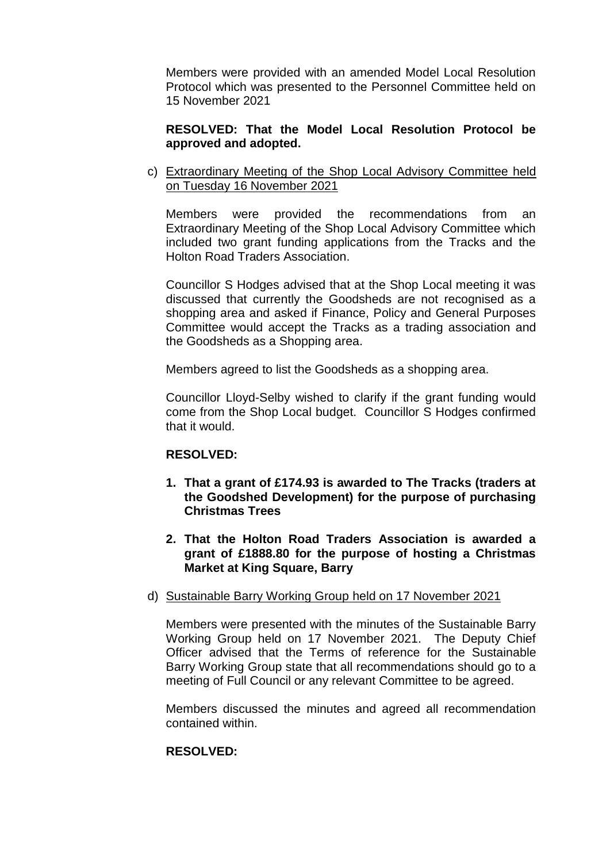Members were provided with an amended Model Local Resolution Protocol which was presented to the Personnel Committee held on 15 November 2021

### **RESOLVED: That the Model Local Resolution Protocol be approved and adopted.**

c) Extraordinary Meeting of the Shop Local Advisory Committee held on Tuesday 16 November 2021

Members were provided the recommendations from an Extraordinary Meeting of the Shop Local Advisory Committee which included two grant funding applications from the Tracks and the Holton Road Traders Association.

Councillor S Hodges advised that at the Shop Local meeting it was discussed that currently the Goodsheds are not recognised as a shopping area and asked if Finance, Policy and General Purposes Committee would accept the Tracks as a trading association and the Goodsheds as a Shopping area.

Members agreed to list the Goodsheds as a shopping area.

Councillor Lloyd-Selby wished to clarify if the grant funding would come from the Shop Local budget. Councillor S Hodges confirmed that it would.

#### **RESOLVED:**

- **1. That a grant of £174.93 is awarded to The Tracks (traders at the Goodshed Development) for the purpose of purchasing Christmas Trees**
- **2. That the Holton Road Traders Association is awarded a grant of £1888.80 for the purpose of hosting a Christmas Market at King Square, Barry**
- d) Sustainable Barry Working Group held on 17 November 2021

Members were presented with the minutes of the Sustainable Barry Working Group held on 17 November 2021. The Deputy Chief Officer advised that the Terms of reference for the Sustainable Barry Working Group state that all recommendations should go to a meeting of Full Council or any relevant Committee to be agreed.

Members discussed the minutes and agreed all recommendation contained within.

### **RESOLVED:**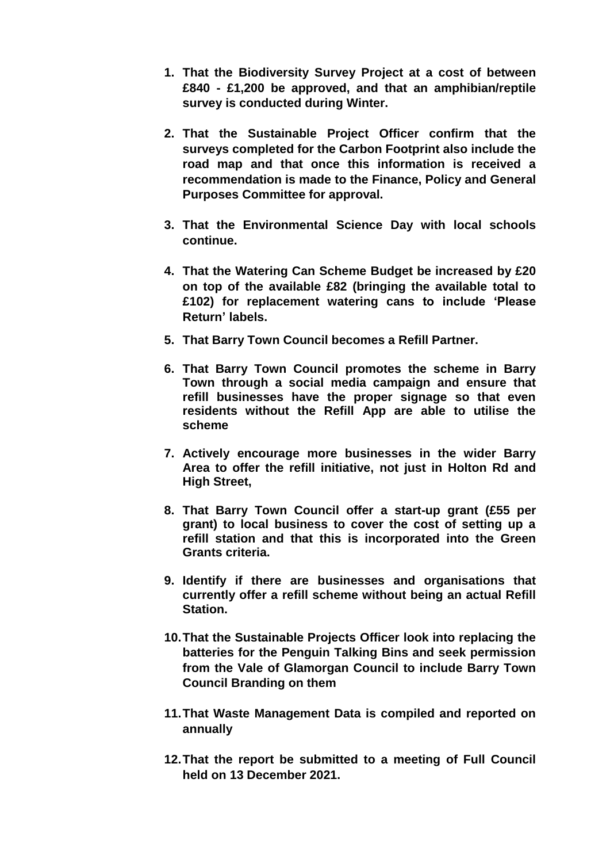- **1. That the Biodiversity Survey Project at a cost of between £840 - £1,200 be approved, and that an amphibian/reptile survey is conducted during Winter.**
- **2. That the Sustainable Project Officer confirm that the surveys completed for the Carbon Footprint also include the road map and that once this information is received a recommendation is made to the Finance, Policy and General Purposes Committee for approval.**
- **3. That the Environmental Science Day with local schools continue.**
- **4. That the Watering Can Scheme Budget be increased by £20 on top of the available £82 (bringing the available total to £102) for replacement watering cans to include 'Please Return' labels.**
- **5. That Barry Town Council becomes a Refill Partner.**
- **6. That Barry Town Council promotes the scheme in Barry Town through a social media campaign and ensure that refill businesses have the proper signage so that even residents without the Refill App are able to utilise the scheme**
- **7. Actively encourage more businesses in the wider Barry Area to offer the refill initiative, not just in Holton Rd and High Street,**
- **8. That Barry Town Council offer a start-up grant (£55 per grant) to local business to cover the cost of setting up a refill station and that this is incorporated into the Green Grants criteria.**
- **9. Identify if there are businesses and organisations that currently offer a refill scheme without being an actual Refill Station.**
- **10.That the Sustainable Projects Officer look into replacing the batteries for the Penguin Talking Bins and seek permission from the Vale of Glamorgan Council to include Barry Town Council Branding on them**
- **11.That Waste Management Data is compiled and reported on annually**
- **12.That the report be submitted to a meeting of Full Council held on 13 December 2021.**